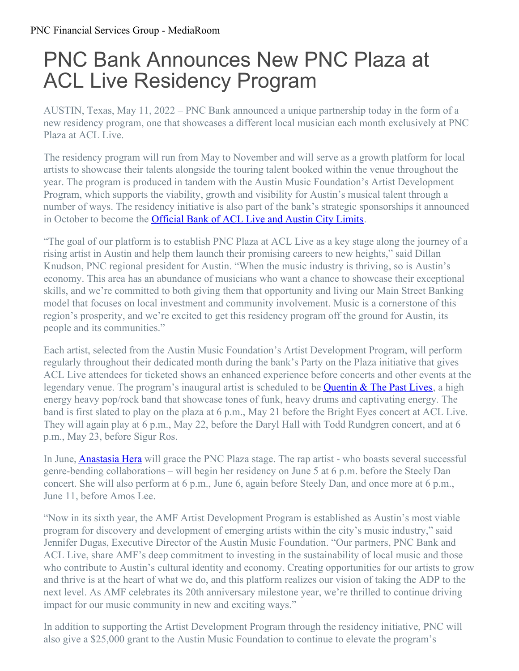## PNC Bank Announces New PNC Plaza at ACL Live Residency Program

AUSTIN, Texas, May 11, 2022 – PNC Bank announced a unique partnership today in the form of a new residency program, one that showcases a different local musician each month exclusively at PNC Plaza at ACL Live.

The residency program will run from May to November and will serve as a growth platform for local artists to showcase their talents alongside the touring talent booked within the venue throughout the year. The program is produced in tandem with the Austin Music Foundation's Artist Development Program, which supports the viability, growth and visibility for Austin's musical talent through a number of ways. The residency initiative is also part of the bank's strategic sponsorships it announced in October to become the [Official](https://pnc.mediaroom.com/2021-10-28-PNC-Bank-Strikes-A-Chord-With-Austin-City-Limits-Sponsorships) Bank of ACL Live and Austin City Limits.

"The goal of our platform is to establish PNC Plaza at ACL Live as a key stage along the journey of a rising artist in Austin and help them launch their promising careers to new heights," said Dillan Knudson, PNC regional president for Austin. "When the music industry is thriving, so is Austin's economy. This area has an abundance of musicians who want a chance to showcase their exceptional skills, and we're committed to both giving them that opportunity and living our Main Street Banking model that focuses on local investment and community involvement. Music is a cornerstone of this region's prosperity, and we're excited to get this residency program off the ground for Austin, its people and its communities."

Each artist, selected from the Austin Music Foundation's Artist Development Program, will perform regularly throughout their dedicated month during the bank's Party on the Plaza initiative that gives ACL Live attendees for ticketed shows an enhanced experience before concerts and other events at the legendary venue. The program's inaugural artist is scheduled to be **[Quentin](https://quentinandthepastlives.com/) & The Past Lives**, a high energy heavy pop/rock band that showcase tones of funk, heavy drums and captivating energy. The band is first slated to play on the plaza at 6 p.m., May 21 before the Bright Eyes concert at ACL Live. They will again play at 6 p.m., May 22, before the Daryl Hall with Todd Rundgren concert, and at 6 p.m., May 23, before Sigur Ros.

In June, [Anastasia](https://www.anastasiahera.com/) Hera will grace the PNC Plaza stage. The rap artist - who boasts several successful genre-bending collaborations – will begin her residency on June 5 at 6 p.m. before the Steely Dan concert. She will also perform at 6 p.m., June 6, again before Steely Dan, and once more at 6 p.m., June 11, before Amos Lee.

"Now in its sixth year, the AMF Artist Development Program is established as Austin's most viable program for discovery and development of emerging artists within the city's music industry," said Jennifer Dugas, Executive Director of the Austin Music Foundation. "Our partners, PNC Bank and ACL Live, share AMF's deep commitment to investing in the sustainability of local music and those who contribute to Austin's cultural identity and economy. Creating opportunities for our artists to grow and thrive is at the heart of what we do, and this platform realizes our vision of taking the ADP to the next level. As AMF celebrates its 20th anniversary milestone year, we're thrilled to continue driving impact for our music community in new and exciting ways."

In addition to supporting the Artist Development Program through the residency initiative, PNC will also give a \$25,000 grant to the Austin Music Foundation to continue to elevate the program's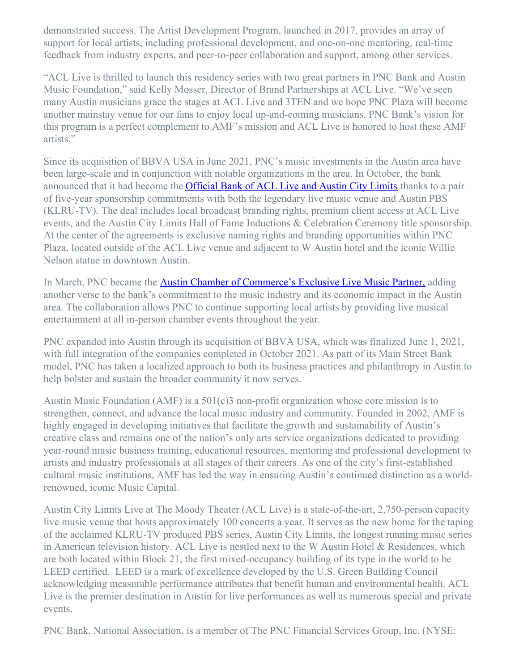demonstrated success. The Artist Development Program, launched in 2017, provides an array of support for local artists, including professional development, and one-on-one mentoring, real-time feedback from industry experts, and peer-to-peer collaboration and support, among other services.

"ACL Live is thrilled to launch this residency series with two great partners in PNC Bank and Austin Music Foundation," said Kelly Mosser, Director of Brand Partnerships at ACL Live. "We've seen many Austin musicians grace the stages at ACL Live and 3TEN and we hope PNC Plaza will become another mainstay venue for our fans to enjoy local up-and-coming musicians. PNC Bank's vision for this program is a perfect complement to AMF's mission and ACL Live is honored to host these AMF artists."

Since its acquisition of BBVA USA in June 2021, PNC's music investments in the Austin area have been large-scale and in conjunction with notable organizations in the area. In October, the bank announced that it had become the [Official](https://pnc.mediaroom.com/2021-10-28-PNC-Bank-Strikes-A-Chord-With-Austin-City-Limits-Sponsorships) Bank of ACL Live and Austin City Limits thanks to a pair of five-year sponsorship commitments with both the legendary live music venue and Austin PBS (KLRU-TV). The deal includes local broadcast branding rights, premium client access at ACL Live events, and the Austin City Limits Hall of Fame Inductions & Celebration Ceremony title sponsorship. At the center of the agreements is exclusive naming rights and branding opportunities within PNC Plaza, located outside of the ACL Live venue and adjacent to W Austin hotel and the iconic Willie Nelson statue in downtown Austin.

In March, PNC became the Austin Chamber of [Commerce's](https://pnc.mediaroom.com/2022-03-08-PNC-Bank-Orchestrates-Deal-To-Become-The-Exclusive-Live-Music-Partner-of-The-Austin-Chamber-of-Commerce) Exclusive Live Music Partner, adding another verse to the bank's commitment to the music industry and its economic impact in the Austin area. The collaboration allows PNC to continue supporting local artists by providing live musical entertainment at all in-person chamber events throughout the year.

PNC expanded into Austin through its acquisition of BBVA USA, which was finalized June 1, 2021, with full integration of the companies completed in October 2021. As part of its Main Street Bank model, PNC has taken a localized approach to both its business practices and philanthropy in Austin to help bolster and sustain the broader community it now serves.

Austin Music Foundation (AMF) is a 501(c)3 non-profit organization whose core mission is to strengthen, connect, and advance the local music industry and community. Founded in 2002, AMF is highly engaged in developing initiatives that facilitate the growth and sustainability of Austin's creative class and remains one of the nation's only arts service organizations dedicated to providing year-round music business training, educational resources, mentoring and professional development to artists and industry professionals at all stages of their careers. As one of the city's first-established cultural music institutions, AMF has led the way in ensuring Austin's continued distinction as a worldrenowned, iconic Music Capital.

Austin City Limits Live at The Moody Theater (ACL Live) is a state-of-the-art, 2,750-person capacity live music venue that hosts approximately 100 concerts a year. It serves as the new home for the taping of the acclaimed KLRU-TV produced PBS series, Austin City Limits, the longest running music series in American television history. ACL Live is nestled next to the W Austin Hotel & Residences, which are both located within Block 21, the first mixed-occupancy building of its type in the world to be LEED certified. LEED is a mark of excellence developed by the U.S. Green Building Council acknowledging measurable performance attributes that benefit human and environmental health. ACL Live is the premier destination in Austin for live performances as well as numerous special and private events.

PNC Bank, National Association, is a member of The PNC Financial Services Group, Inc. (NYSE: